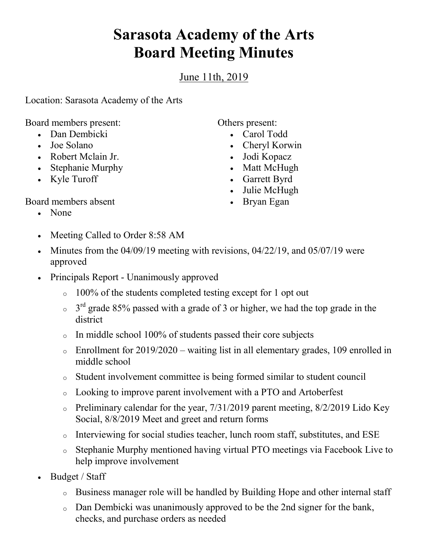## **Sarasota Academy of the Arts Board Meeting Minutes**

June 11th, 2019

Location: Sarasota Academy of the Arts

Board members present:

- Dan Dembicki
- Joe Solano
- Robert Mclain Jr.
- Stephanie Murphy
- Kyle Turoff

Others present:

- Carol Todd
- Cheryl Korwin
- Jodi Kopacz
- Matt McHugh
- Garrett Byrd
- Julie McHugh
- Bryan Egan
- Board members absent
	- None
	- Meeting Called to Order 8:58 AM
	- Minutes from the  $04/09/19$  meeting with revisions,  $04/22/19$ , and  $05/07/19$  were approved
	- Principals Report Unanimously approved
		- $\circ$  100% of the students completed testing except for 1 opt out
		- $\sigma$  3<sup>rd</sup> grade 85% passed with a grade of 3 or higher, we had the top grade in the district
		- $\circ$  In middle school 100% of students passed their core subjects
		- $\circ$  Enrollment for 2019/2020 waiting list in all elementary grades, 109 enrolled in middle school
		- o Student involvement committee is being formed similar to student council
		- o Looking to improve parent involvement with a PTO and Artoberfest
		- o Preliminary calendar for the year,  $7/31/2019$  parent meeting,  $8/2/2019$  Lido Key Social, 8/8/2019 Meet and greet and return forms
		- o Interviewing for social studies teacher, lunch room staff, substitutes, and ESE
		- o Stephanie Murphy mentioned having virtual PTO meetings via Facebook Live to help improve involvement
	- Budget / Staff
		- o Business manager role will be handled by Building Hope and other internal staff
		- o Dan Dembicki was unanimously approved to be the 2nd signer for the bank, checks, and purchase orders as needed